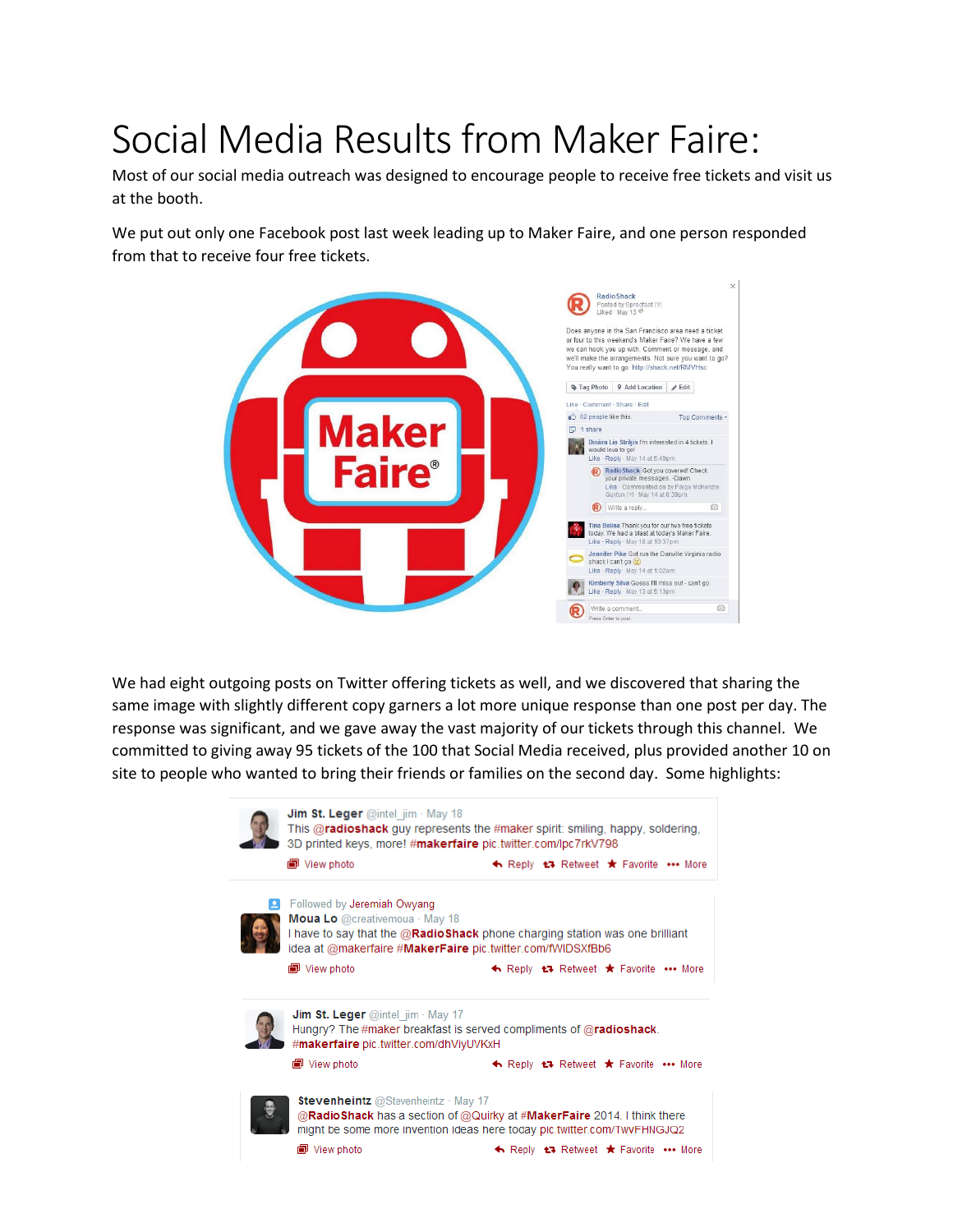## Social Media Results from Maker Faire:

Most of our social media outreach was designed to encourage people to receive free tickets and visit us at the booth.

We put out only one Facebook post last week leading up to Maker Faire, and one person responded from that to receive four free tickets.



We had eight outgoing posts on Twitter offering tickets as well, and we discovered that sharing the same image with slightly different copy garners a lot more unique response than one post per day. The response was significant, and we gave away the vast majority of our tickets through this channel. We committed to giving away 95 tickets of the 100 that Social Media received, plus provided another 10 on site to people who wanted to bring their friends or families on the second day. Some highlights: